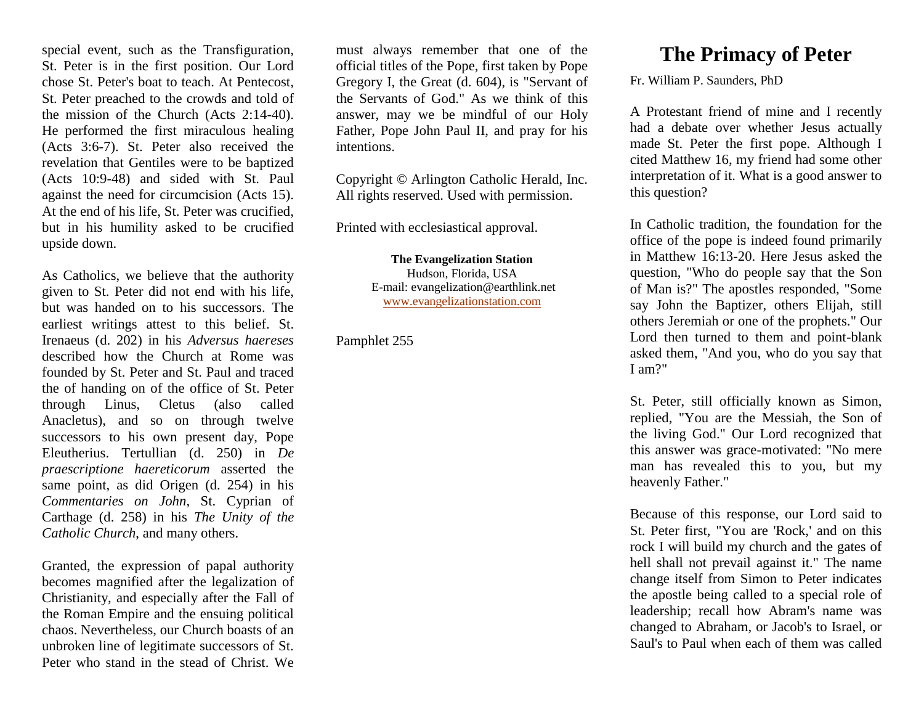special event, such as the Transfiguration, St. Peter is in the first position. Our Lord chose St. Peter's boat to teach. At Pentecost, St. Peter preached to the crowds and told of the mission of the Church (Acts 2:14-40). He performed the first miraculous healing (Acts 3:6-7). St. Peter also received the revelation that Gentiles were to be baptized (Acts 10:9-48) and sided with St. Paul against the need for circumcision (Acts 15). At the end of his life, St. Peter was crucified, but in his humility asked to be crucified upside down.

As Catholics, we believe that the authority given to St. Peter did not end with his life, but was handed on to his successors. The earliest writings attest to this belief. St. Irenaeus (d. 202) in his *Adversus haereses* described how the Church at Rome was founded by St. Peter and St. Paul and traced the of handing on of the office of St. Peter through Linus, Cletus (also called Anacletus), and so on through twelve successors to his own present day, Pope Eleutherius. Tertullian (d. 250) in *De praescriptione haereticorum* asserted the same point, as did Origen (d. 254) in his *Commentaries on John*, St. Cyprian of Carthage (d. 258) in his *The Unity of the Catholic Church*, and many others.

Granted, the expression of papal authority becomes magnified after the legalization of Christianity, and especially after the Fall of the Roman Empire and the ensuing political chaos. Nevertheless, our Church boasts of an unbroken line of legitimate successors of St. Peter who stand in the stead of Christ. We

must always remember that one of the official titles of the Pope, first taken by Pope Gregory I, the Great (d. 604), is "Servant of the Servants of God." As we think of this answer, may we be mindful of our Holy Father, Pope John Paul II, and pray for his intentions.

Copyright © Arlington Catholic Herald, Inc. All rights reserved. Used with permission.

Printed with ecclesiastical approval.

**The Evangelization Station** Hudson, Florida, USA E-mail: evangelization@earthlink.net [www.evangelizationstation.com](http://www.pjpiisoe.org/)

Pamphlet 255

## **The Primacy of Peter**

Fr. William P. Saunders, PhD

A Protestant friend of mine and I recently had a debate over whether Jesus actually made St. Peter the first pope. Although I cited Matthew 16, my friend had some other interpretation of it. What is a good answer to this question?

In Catholic tradition, the foundation for the office of the pope is indeed found primarily in Matthew 16:13-20. Here Jesus asked the question, "Who do people say that the Son of Man is?" The apostles responded, "Some say John the Baptizer, others Elijah, still others Jeremiah or one of the prophets." Our Lord then turned to them and point-blank asked them, "And you, who do you say that I am?"

St. Peter, still officially known as Simon, replied, "You are the Messiah, the Son of the living God." Our Lord recognized that this answer was grace-motivated: "No mere man has revealed this to you, but my heavenly Father."

Because of this response, our Lord said to St. Peter first, "You are 'Rock,' and on this rock I will build my church and the gates of hell shall not prevail against it." The name change itself from Simon to Peter indicates the apostle being called to a special role of leadership; recall how Abram's name was changed to Abraham, or Jacob's to Israel, or Saul's to Paul when each of them was called